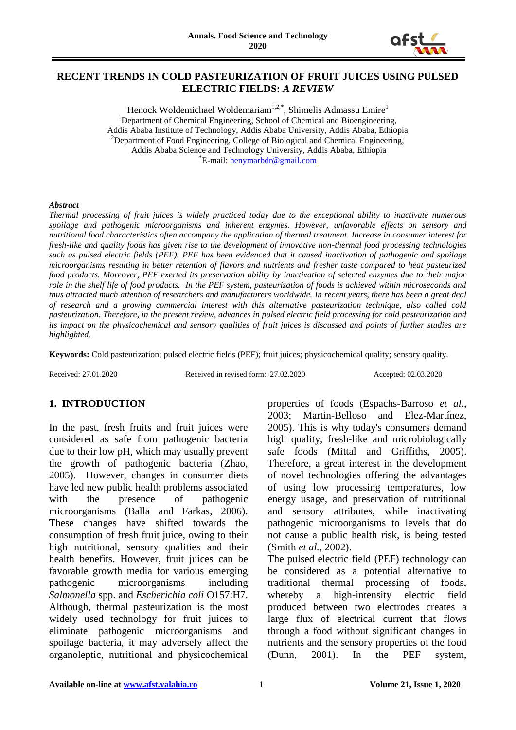

## **RECENT TRENDS IN COLD PASTEURIZATION OF FRUIT JUICES USING PULSED ELECTRIC FIELDS:** *A REVIEW*

Henock Woldemichael Woldemariam<sup>1,2,\*</sup>, Shimelis Admassu Emire<sup>1</sup> <sup>1</sup>Department of Chemical Engineering, School of Chemical and Bioengineering, Addis Ababa Institute of Technology, Addis Ababa University, Addis Ababa, Ethiopia <sup>2</sup>Department of Food Engineering, College of Biological and Chemical Engineering, Addis Ababa Science and Technology University, Addis Ababa, Ethiopia \*E-mail: [henymarbdr@gmail.com](mailto:henymarbdr@gmail.com)

#### *Abstract*

*Thermal processing of fruit juices is widely practiced today due to the exceptional ability to inactivate numerous spoilage and pathogenic microorganisms and inherent enzymes. However, unfavorable effects on sensory and nutritional food characteristics often accompany the application of thermal treatment. Increase in consumer interest for fresh-like and quality foods has given rise to the development of innovative non-thermal food processing technologies such as pulsed electric fields (PEF). PEF has been evidenced that it caused inactivation of pathogenic and spoilage microorganisms resulting in better retention of flavors and nutrients and fresher taste compared to heat pasteurized food products. Moreover, PEF exerted its preservation ability by inactivation of selected enzymes due to their major role in the shelf life of food products. In the PEF system, pasteurization of foods is achieved within microseconds and thus attracted much attention of researchers and manufacturers worldwide. In recent years, there has been a great deal of research and a growing commercial interest with this alternative pasteurization technique, also called cold pasteurization. Therefore, in the present review, advances in pulsed electric field processing for cold pasteurization and its impact on the physicochemical and sensory qualities of fruit juices is discussed and points of further studies are highlighted.* 

**Keywords:** Cold pasteurization; pulsed electric fields (PEF); fruit juices; physicochemical quality; sensory quality.

Received: 27.01.2020 Received in revised form: 27.02.2020 Accepted: 02.03.2020

#### **1. INTRODUCTION**

In the past, fresh fruits and fruit juices were considered as safe from pathogenic bacteria due to their low pH, which may usually prevent the growth of pathogenic bacteria (Zhao, 2005). However, changes in consumer diets have led new public health problems associated with the presence of pathogenic microorganisms (Balla and Farkas, 2006). These changes have shifted towards the consumption of fresh fruit juice, owing to their high nutritional, sensory qualities and their health benefits. However, fruit juices can be favorable growth media for various emerging pathogenic microorganisms including *Salmonella* spp. and *Escherichia coli* O157:H7. Although, thermal pasteurization is the most widely used technology for fruit juices to eliminate pathogenic microorganisms and spoilage bacteria, it may adversely affect the organoleptic, nutritional and physicochemical

properties of foods (Espachs-Barroso *et al.*, 2003; Martin-Belloso and Elez-Martínez, 2005). This is why today's consumers demand high quality, fresh-like and microbiologically safe foods (Mittal and Griffiths, 2005). Therefore, a great interest in the development of novel technologies offering the advantages of using low processing temperatures, low energy usage, and preservation of nutritional and sensory attributes, while inactivating pathogenic microorganisms to levels that do not cause a public health risk, is being tested (Smith *et al.*, 2002).

The pulsed electric field (PEF) technology can be considered as a potential alternative to traditional thermal processing of foods, whereby a high-intensity electric field produced between two electrodes creates a large flux of electrical current that flows through a food without significant changes in nutrients and the sensory properties of the food (Dunn, 2001). In the PEF system,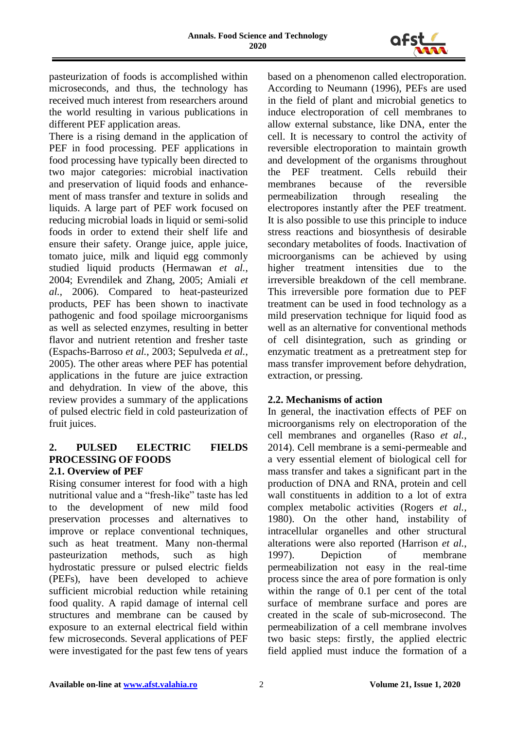

pasteurization of foods is accomplished within microseconds, and thus, the technology has received much interest from researchers around the world resulting in various publications in different PEF application areas.

There is a rising demand in the application of PEF in food processing. PEF applications in food processing have typically been directed to two major categories: microbial inactivation and preservation of liquid foods and enhancement of mass transfer and texture in solids and liquids. A large part of PEF work focused on reducing microbial loads in liquid or semi-solid foods in order to extend their shelf life and ensure their safety. Orange juice, apple juice, tomato juice, milk and liquid egg commonly studied liquid products (Hermawan *et al.*, 2004; Evrendilek and Zhang, 2005; Amiali *et al.*, 2006). Compared to heat-pasteurized products, PEF has been shown to inactivate pathogenic and food spoilage microorganisms as well as selected enzymes, resulting in better flavor and nutrient retention and fresher taste (Espachs-Barroso *et al.*, 2003; Sepulveda *et al.*, 2005). The other areas where PEF has potential applications in the future are juice extraction and dehydration. In view of the above, this review provides a summary of the applications of pulsed electric field in cold pasteurization of fruit juices.

#### **2. PULSED ELECTRIC FIELDS PROCESSING OF FOODS 2.1. Overview of PEF**

#### Rising consumer interest for food with a high nutritional value and a "fresh-like" taste has led to the development of new mild food preservation processes and alternatives to improve or replace conventional techniques, such as heat treatment. Many non-thermal pasteurization methods, such as high hydrostatic pressure or pulsed electric fields (PEFs), have been developed to achieve sufficient microbial reduction while retaining food quality. A rapid damage of internal cell structures and membrane can be caused by exposure to an external electrical field within few microseconds. Several applications of PEF were investigated for the past few tens of years

based on a phenomenon called electroporation. According to Neumann (1996), PEFs are used in the field of plant and microbial genetics to induce electroporation of cell membranes to allow external substance, like DNA, enter the cell. It is necessary to control the activity of reversible electroporation to maintain growth and development of the organisms throughout the PEF treatment. Cells rebuild their membranes because of the reversible permeabilization through resealing the electropores instantly after the PEF treatment. It is also possible to use this principle to induce stress reactions and biosynthesis of desirable secondary metabolites of foods. Inactivation of microorganisms can be achieved by using higher treatment intensities due to the irreversible breakdown of the cell membrane. This irreversible pore formation due to PEF treatment can be used in food technology as a mild preservation technique for liquid food as well as an alternative for conventional methods of cell disintegration, such as grinding or enzymatic treatment as a pretreatment step for mass transfer improvement before dehydration, extraction, or pressing.

# **2.2. Mechanisms of action**

In general, the inactivation effects of PEF on microorganisms rely on electroporation of the cell membranes and organelles (Raso *et al.*, 2014). Cell membrane is a semi-permeable and a very essential element of biological cell for mass transfer and takes a significant part in the production of DNA and RNA, protein and cell wall constituents in addition to a lot of extra complex metabolic activities (Rogers *et al.*, 1980). On the other hand, instability of intracellular organelles and other structural alterations were also reported (Harrison *et al.*, 1997). Depiction of membrane permeabilization not easy in the real-time process since the area of pore formation is only within the range of 0.1 per cent of the total surface of membrane surface and pores are created in the scale of sub-microsecond. The permeabilization of a cell membrane involves two basic steps: firstly, the applied electric field applied must induce the formation of a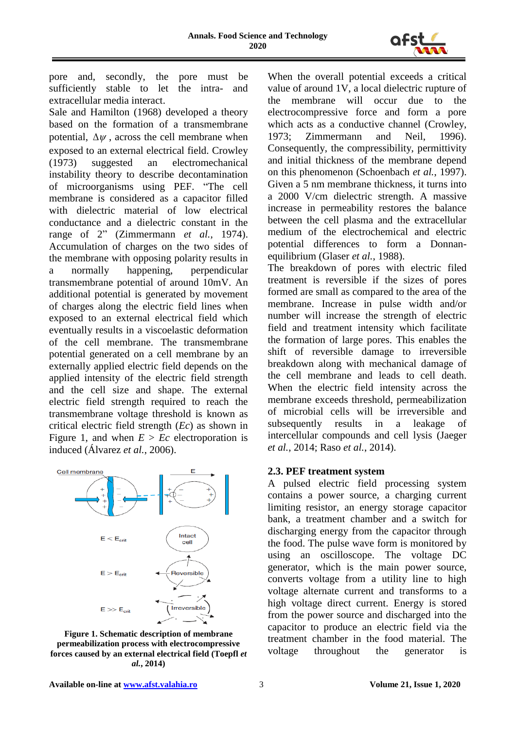

pore and, secondly, the pore must be sufficiently stable to let the intra- and extracellular media interact.

Sale and Hamilton (1968) developed a theory based on the formation of a transmembrane potential,  $\Delta \psi$ , across the cell membrane when exposed to an external electrical field. Crowley (1973) suggested an electromechanical instability theory to describe decontamination of microorganisms using PEF. "The cell membrane is considered as a capacitor filled with dielectric material of low electrical conductance and a dielectric constant in the range of 2" (Zimmermann *et al.*, 1974). Accumulation of charges on the two sides of the membrane with opposing polarity results in a normally happening, perpendicular transmembrane potential of around 10mV. An additional potential is generated by movement of charges along the electric field lines when exposed to an external electrical field which eventually results in a viscoelastic deformation of the cell membrane. The transmembrane potential generated on a cell membrane by an externally applied electric field depends on the applied intensity of the electric field strength and the cell size and shape. The external electric field strength required to reach the transmembrane voltage threshold is known as critical electric field strength (*Ec*) as shown in Figure 1, and when  $E > Ec$  electroporation is induced (Álvarez *et al.*, 2006).



**Figure 1. Schematic description of membrane permeabilization process with electrocompressive forces caused by an external electrical field (Toepfl** *et al.***, 2014)**

When the overall potential exceeds a critical value of around 1V, a local dielectric rupture of the membrane will occur due to the electrocompressive force and form a pore which acts as a conductive channel (Crowley, 1973; Zimmermann and Neil, 1996). Consequently, the compressibility, permittivity and initial thickness of the membrane depend on this phenomenon (Schoenbach *et al.*, 1997). Given a 5 nm membrane thickness, it turns into a 2000 V/cm dielectric strength. A massive increase in permeability restores the balance between the cell plasma and the extracellular medium of the electrochemical and electric potential differences to form a Donnanequilibrium (Glaser *et al.*, 1988).

The breakdown of pores with electric filed treatment is reversible if the sizes of pores formed are small as compared to the area of the membrane. Increase in pulse width and/or number will increase the strength of electric field and treatment intensity which facilitate the formation of large pores. This enables the shift of reversible damage to irreversible breakdown along with mechanical damage of the cell membrane and leads to cell death. When the electric field intensity across the membrane exceeds threshold, permeabilization of microbial cells will be irreversible and subsequently results in a leakage of intercellular compounds and cell lysis (Jaeger *et al.*, 2014; Raso *et al.*, 2014).

#### **2.3. PEF treatment system**

A pulsed electric field processing system contains a power source, a charging current limiting resistor, an energy storage capacitor bank, a treatment chamber and a switch for discharging energy from the capacitor through the food. The pulse wave form is monitored by using an oscilloscope. The voltage DC generator, which is the main power source, converts voltage from a utility line to high voltage alternate current and transforms to a high voltage direct current. Energy is stored from the power source and discharged into the capacitor to produce an electric field via the treatment chamber in the food material. The voltage throughout the generator is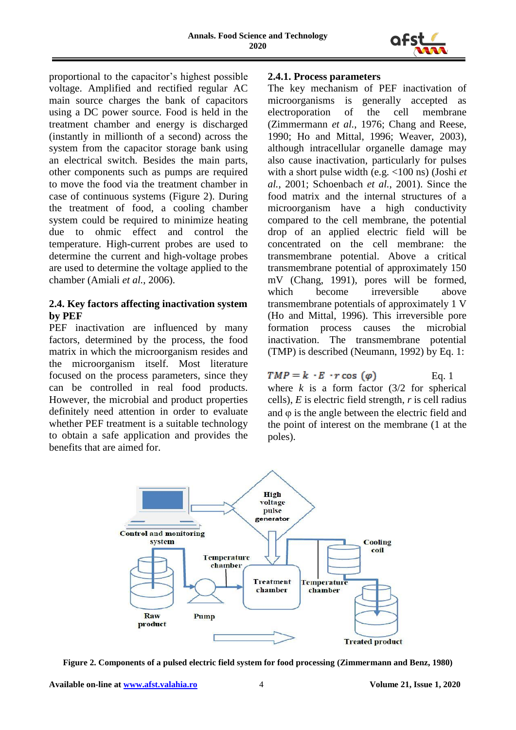

proportional to the capacitor's highest possible voltage. Amplified and rectified regular AC main source charges the bank of capacitors using a DC power source. Food is held in the treatment chamber and energy is discharged (instantly in millionth of a second) across the system from the capacitor storage bank using an electrical switch. Besides the main parts, other components such as pumps are required to move the food via the treatment chamber in case of continuous systems (Figure 2). During the treatment of food, a cooling chamber system could be required to minimize heating due to ohmic effect and control the temperature. High-current probes are used to determine the current and high-voltage probes are used to determine the voltage applied to the chamber (Amiali *et al.*, 2006).

#### **2.4. Key factors affecting inactivation system by PEF**

PEF inactivation are influenced by many factors, determined by the process, the food matrix in which the microorganism resides and the microorganism itself. Most literature focused on the process parameters, since they can be controlled in real food products. However, the microbial and product properties definitely need attention in order to evaluate whether PEF treatment is a suitable technology to obtain a safe application and provides the benefits that are aimed for.

## **2.4.1. Process parameters**

The key mechanism of PEF inactivation of microorganisms is generally accepted as electroporation of the cell membrane (Zimmermann *et al.*, 1976; Chang and Reese, 1990; Ho and Mittal, 1996; Weaver, 2003), although intracellular organelle damage may also cause inactivation, particularly for pulses with a short pulse width (e.g. <100 ns) (Joshi *et al.*, 2001; Schoenbach *et al.*, 2001). Since the food matrix and the internal structures of a microorganism have a high conductivity compared to the cell membrane, the potential drop of an applied electric field will be concentrated on the cell membrane: the transmembrane potential. Above a critical transmembrane potential of approximately 150 mV (Chang, 1991), pores will be formed, which become irreversible above transmembrane potentials of approximately 1 V (Ho and Mittal, 1996). This irreversible pore formation process causes the microbial inactivation. The transmembrane potential (TMP) is described (Neumann, 1992) by Eq. 1:

#### $TMP = k \cdot E \cdot r \cos{(\varphi)}$  Eq. 1 where  $k$  is a form factor  $(3/2)$  for spherical cells), *E* is electric field strength, *r* is cell radius and  $\varphi$  is the angle between the electric field and the point of interest on the membrane (1 at the poles).



**Figure 2. Components of a pulsed electric field system for food processing (Zimmermann and Benz, 1980)**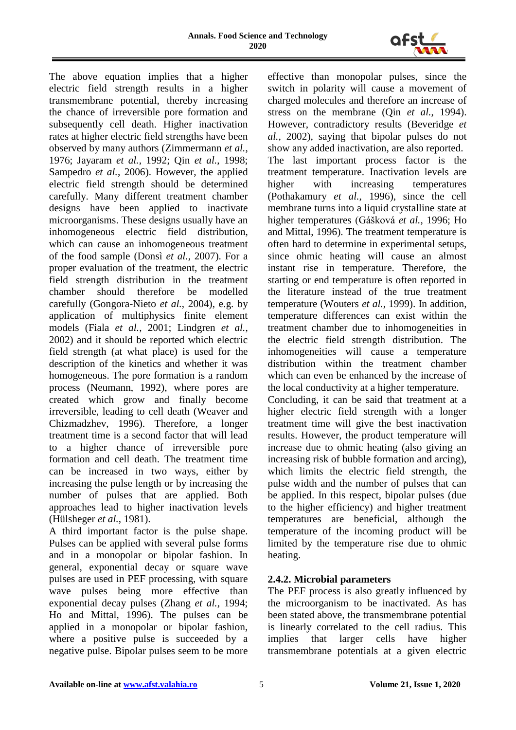

The above equation implies that a higher electric field strength results in a higher transmembrane potential, thereby increasing the chance of irreversible pore formation and subsequently cell death. Higher inactivation rates at higher electric field strengths have been observed by many authors (Zimmermann *et al.*, 1976; Jayaram *et al.*, 1992; Qin *et al.*, 1998; Sampedro *et al.*, 2006). However, the applied electric field strength should be determined carefully. Many different treatment chamber designs have been applied to inactivate microorganisms. These designs usually have an inhomogeneous electric field distribution, which can cause an inhomogeneous treatment of the food sample (Donsì *et al.*, 2007). For a proper evaluation of the treatment, the electric field strength distribution in the treatment chamber should therefore be modelled carefully (Gongora-Nieto *et al.*, 2004), e.g. by application of multiphysics finite element models (Fiala *et al.*, 2001; Lindgren *et al.*, 2002) and it should be reported which electric field strength (at what place) is used for the description of the kinetics and whether it was homogeneous. The pore formation is a random process (Neumann, 1992), where pores are created which grow and finally become irreversible, leading to cell death (Weaver and Chizmadzhev, 1996). Therefore, a longer treatment time is a second factor that will lead to a higher chance of irreversible pore formation and cell death. The treatment time can be increased in two ways, either by increasing the pulse length or by increasing the number of pulses that are applied. Both approaches lead to higher inactivation levels (Hülsheger *et al.*, 1981).

A third important factor is the pulse shape. Pulses can be applied with several pulse forms and in a monopolar or bipolar fashion. In general, exponential decay or square wave pulses are used in PEF processing, with square wave pulses being more effective than exponential decay pulses (Zhang *et al.*, 1994; Ho and Mittal, 1996). The pulses can be applied in a monopolar or bipolar fashion, where a positive pulse is succeeded by a negative pulse. Bipolar pulses seem to be more effective than monopolar pulses, since the switch in polarity will cause a movement of charged molecules and therefore an increase of stress on the membrane (Qin *et al.*, 1994). However, contradictory results (Beveridge *et al.*, 2002), saying that bipolar pulses do not show any added inactivation, are also reported. The last important process factor is the treatment temperature. Inactivation levels are higher with increasing temperatures (Pothakamury *et al.*, 1996), since the cell membrane turns into a liquid crystalline state at higher temperatures (Gášková *et al.*, 1996; Ho and Mittal, 1996). The treatment temperature is often hard to determine in experimental setups, since ohmic heating will cause an almost instant rise in temperature. Therefore, the starting or end temperature is often reported in the literature instead of the true treatment temperature (Wouters *et al.*, 1999). In addition, temperature differences can exist within the treatment chamber due to inhomogeneities in the electric field strength distribution. The inhomogeneities will cause a temperature distribution within the treatment chamber which can even be enhanced by the increase of the local conductivity at a higher temperature.

Concluding, it can be said that treatment at a higher electric field strength with a longer treatment time will give the best inactivation results. However, the product temperature will increase due to ohmic heating (also giving an increasing risk of bubble formation and arcing), which limits the electric field strength, the pulse width and the number of pulses that can be applied. In this respect, bipolar pulses (due to the higher efficiency) and higher treatment temperatures are beneficial, although the temperature of the incoming product will be limited by the temperature rise due to ohmic heating.

## **2.4.2. Microbial parameters**

The PEF process is also greatly influenced by the microorganism to be inactivated. As has been stated above, the transmembrane potential is linearly correlated to the cell radius. This implies that larger cells have higher transmembrane potentials at a given electric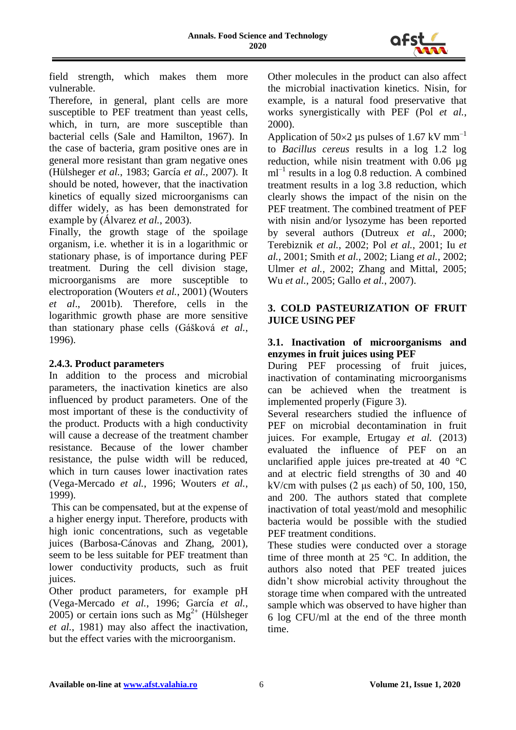

field strength, which makes them more vulnerable.

Therefore, in general, plant cells are more susceptible to PEF treatment than yeast cells, which, in turn, are more susceptible than bacterial cells (Sale and Hamilton, 1967). In the case of bacteria, gram positive ones are in general more resistant than gram negative ones (Hülsheger *et al.*, 1983; García *et al.*, 2007). It should be noted, however, that the inactivation kinetics of equally sized microorganisms can differ widely, as has been demonstrated for example by (Álvarez *et al.*, 2003).

Finally, the growth stage of the spoilage organism, i.e. whether it is in a logarithmic or stationary phase, is of importance during PEF treatment. During the cell division stage, microorganisms are more susceptible to electroporation (Wouters *et al.*, 2001) (Wouters *et al*., 2001b). Therefore, cells in the logarithmic growth phase are more sensitive than stationary phase cells (Gášková *et al.*, 1996).

#### **2.4.3. Product parameters**

In addition to the process and microbial parameters, the inactivation kinetics are also influenced by product parameters. One of the most important of these is the conductivity of the product. Products with a high conductivity will cause a decrease of the treatment chamber resistance. Because of the lower chamber resistance, the pulse width will be reduced, which in turn causes lower inactivation rates (Vega-Mercado *et al.*, 1996; Wouters *et al.*, 1999).

This can be compensated, but at the expense of a higher energy input. Therefore, products with high ionic concentrations, such as vegetable juices (Barbosa-Cánovas and Zhang, 2001), seem to be less suitable for PEF treatment than lower conductivity products, such as fruit juices.

Other product parameters, for example pH (Vega-Mercado *et al.*, 1996; García *et al.*, 2005) or certain ions such as  $Mg^{2+}$  (Hülsheger *et al.*, 1981) may also affect the inactivation, but the effect varies with the microorganism.

Other molecules in the product can also affect the microbial inactivation kinetics. Nisin, for example, is a natural food preservative that works synergistically with PEF (Pol *et al.*, 2000).

Application of  $50\times2$  µs pulses of 1.67 kV mm<sup>-1</sup> to *Bacillus cereus* results in a log 1.2 log reduction, while nisin treatment with 0.06 µg  $ml^{-1}$  results in a log 0.8 reduction. A combined treatment results in a log 3.8 reduction, which clearly shows the impact of the nisin on the PEF treatment. The combined treatment of PEF with nisin and/or lysozyme has been reported by several authors (Dutreux *et al.*, 2000; Terebiznik *et al.*, 2002; Pol *et al.*, 2001; Iu *et al.*, 2001; Smith *et al.*, 2002; Liang *et al.*, 2002; Ulmer *et al.*, 2002; Zhang and Mittal, 2005; Wu *et al.*, 2005; Gallo *et al.*, 2007).

## **3. COLD PASTEURIZATION OF FRUIT JUICE USING PEF**

#### **3.1. Inactivation of microorganisms and enzymes in fruit juices using PEF**

During PEF processing of fruit juices, inactivation of contaminating microorganisms can be achieved when the treatment is implemented properly (Figure 3).

Several researchers studied the influence of PEF on microbial decontamination in fruit juices. For example, Ertugay *et al.* (2013) evaluated the influence of PEF on an unclarified apple juices pre-treated at  $40^{\circ}$ C and at electric field strengths of 30 and 40 kV/cm with pulses  $(2 \mu s$  each) of 50, 100, 150, and 200. The authors stated that complete inactivation of total yeast/mold and mesophilic bacteria would be possible with the studied PEF treatment conditions.

These studies were conducted over a storage time of three month at 25 °C. In addition, the authors also noted that PEF treated juices didn't show microbial activity throughout the storage time when compared with the untreated sample which was observed to have higher than 6 log CFU/ml at the end of the three month time.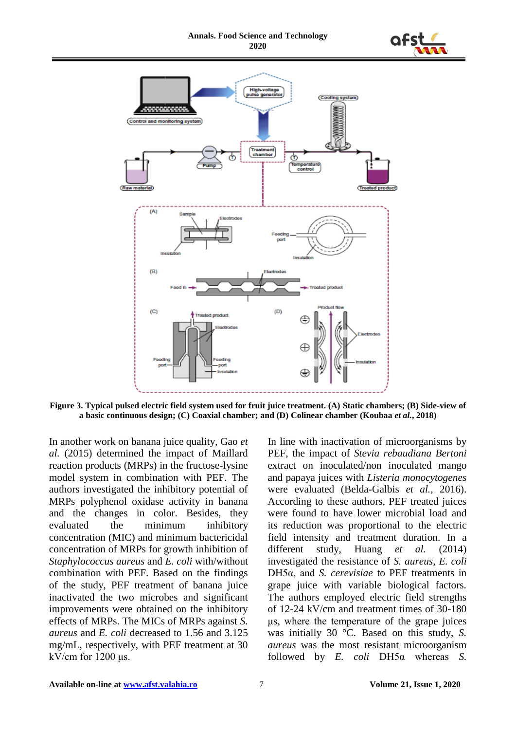



**Figure 3. Typical pulsed electric field system used for fruit juice treatment. (A) Static chambers; (B) Side-view of a basic continuous design; (C) Coaxial chamber; and (D) Colinear chamber (Koubaa** *et al.***, 2018)**

In another work on banana juice quality, Gao *et al.* (2015) determined the impact of Maillard reaction products (MRPs) in the fructose-lysine model system in combination with PEF. The authors investigated the inhibitory potential of MRPs polyphenol oxidase activity in banana and the changes in color. Besides, they evaluated the minimum inhibitory concentration (MIC) and minimum bactericidal concentration of MRPs for growth inhibition of *Staphylococcus aureus* and *E. coli* with/without combination with PEF. Based on the findings of the study, PEF treatment of banana juice inactivated the two microbes and significant improvements were obtained on the inhibitory effects of MRPs. The MICs of MRPs against *S. aureus* and *E. coli* decreased to 1.56 and 3.125 mg/mL, respectively, with PEF treatment at 30 kV/cm for  $1200 \mu s$ .

In line with inactivation of microorganisms by PEF, the impact of *Stevia rebaudiana Bertoni* extract on inoculated/non inoculated mango and papaya juices with *Listeria monocytogenes* were evaluated (Belda-Galbis *et al.*, 2016). According to these authors, PEF treated juices were found to have lower microbial load and its reduction was proportional to the electric field intensity and treatment duration. In a different study, Huang *et al.* (2014) investigated the resistance of *S. aureus*, *E. coli* DH5α, and *S. cerevisiae* to PEF treatments in grape juice with variable biological factors. The authors employed electric field strengths of 12-24 kV/cm and treatment times of 30-180 μs, where the temperature of the grape juices was initially 30 °C. Based on this study, *S. aureus* was the most resistant microorganism followed by *E. coli* DH5α whereas *S.*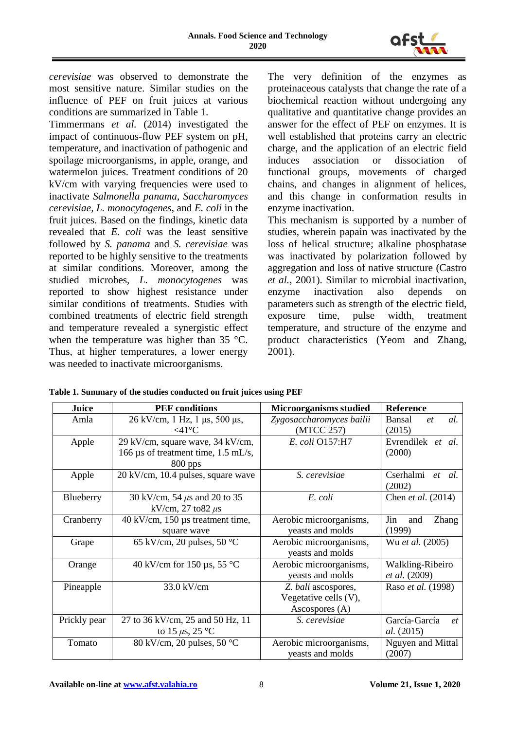

*cerevisiae* was observed to demonstrate the most sensitive nature. Similar studies on the influence of PEF on fruit juices at various conditions are summarized in Table 1.

Timmermans *et al.* (2014) investigated the impact of continuous-flow PEF system on pH, temperature, and inactivation of pathogenic and spoilage microorganisms, in apple, orange, and watermelon juices. Treatment conditions of 20 kV/cm with varying frequencies were used to inactivate *Salmonella panama*, *Saccharomyces cerevisiae, L. monocytogenes*, and *E. coli* in the fruit juices. Based on the findings, kinetic data revealed that *E. coli* was the least sensitive followed by *S. panama* and *S. cerevisiae* was reported to be highly sensitive to the treatments at similar conditions. Moreover, among the studied microbes, *L. monocytogenes* was reported to show highest resistance under similar conditions of treatments. Studies with combined treatments of electric field strength and temperature revealed a synergistic effect when the temperature was higher than 35 °C. Thus, at higher temperatures, a lower energy was needed to inactivate microorganisms.

The very definition of the enzymes as proteinaceous catalysts that change the rate of a biochemical reaction without undergoing any qualitative and quantitative change provides an answer for the effect of PEF on enzymes. It is well established that proteins carry an electric charge, and the application of an electric field induces association or dissociation of functional groups, movements of charged chains, and changes in alignment of helices, and this change in conformation results in enzyme inactivation.

This mechanism is supported by a number of studies, wherein papain was inactivated by the loss of helical structure; alkaline phosphatase was inactivated by polarization followed by aggregation and loss of native structure (Castro *et al.*, 2001). Similar to microbial inactivation, enzyme inactivation also depends on parameters such as strength of the electric field, exposure time, pulse width, treatment temperature, and structure of the enzyme and product characteristics (Yeom and Zhang, 2001).

| Table 1. Summary of the studies conducted on fruit juices using PEF |  |
|---------------------------------------------------------------------|--|
|---------------------------------------------------------------------|--|

| Juice        | <b>PEF</b> conditions                              | <b>Microorganisms studied</b> | <b>Reference</b>     |
|--------------|----------------------------------------------------|-------------------------------|----------------------|
| Amla         | 26 kV/cm, 1 Hz, 1 μs, 500 μs,                      | Zygosaccharomyces bailii      | Bansal<br>al.<br>et  |
|              | $<$ 41°C                                           | (MTCC 257)                    | (2015)               |
| Apple        | 29 kV/cm, square wave, 34 kV/cm,                   | E. coli O157:H7               | Evrendilek et al.    |
|              | 166 µs of treatment time, 1.5 mL/s,                |                               | (2000)               |
|              | 800 pps                                            |                               |                      |
| Apple        | 20 kV/cm, 10.4 pulses, square wave                 | S. cerevisiae                 | Cserhalmi et al.     |
|              |                                                    |                               | (2002)               |
| Blueberry    | 30 kV/cm, 54 $\mu$ s and 20 to 35                  | E. coli                       | Chen et al. (2014)   |
|              | kV/cm, 27 to 82 $\mu$ s                            |                               |                      |
| Cranberry    | $40 \text{ kV/cm}, 150 \text{ µs treatment time},$ | Aerobic microorganisms,       | Jin<br>Zhang<br>and  |
|              | square wave                                        | yeasts and molds              | (1999)               |
| Grape        | 65 kV/cm, 20 pulses, 50 $\degree$ C                | Aerobic microorganisms,       | Wu et al. (2005)     |
|              |                                                    | yeasts and molds              |                      |
| Orange       | 40 kV/cm for 150 $\mu$ s, 55 °C                    | Aerobic microorganisms,       | Walkling-Ribeiro     |
|              |                                                    | yeasts and molds              | <i>et al.</i> (2009) |
| Pineapple    | 33.0 kV/cm                                         | Z. bali ascospores,           | Raso et al. (1998)   |
|              |                                                    | Vegetative cells (V),         |                      |
|              |                                                    | Ascospores (A)                |                      |
| Prickly pear | 27 to 36 kV/cm, 25 and 50 Hz, 11                   | S. cerevisiae                 | García-García<br>et  |
|              | to 15 $\mu$ s, 25 °C                               |                               | <i>al.</i> (2015)    |
| Tomato       | 80 kV/cm, 20 pulses, 50 $^{\circ}$ C               | Aerobic microorganisms,       | Nguyen and Mittal    |
|              |                                                    | yeasts and molds              | (2007)               |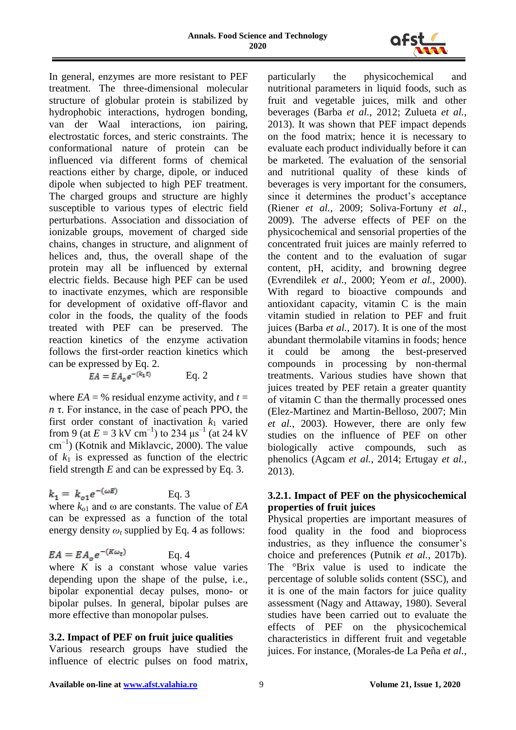

In general, enzymes are more resistant to PEF treatment. The three-dimensional molecular structure of globular protein is stabilized by hydrophobic interactions, hydrogen bonding, van der Waal interactions, ion pairing, electrostatic forces, and steric constraints. The conformational nature of protein can be influenced via different forms of chemical reactions either by charge, dipole, or induced dipole when subjected to high PEF treatment. The charged groups and structure are highly susceptible to various types of electric field perturbations. Association and dissociation of ionizable groups, movement of charged side chains, changes in structure, and alignment of helices and, thus, the overall shape of the protein may all be influenced by external electric fields. Because high PEF can be used to inactivate enzymes, which are responsible for development of oxidative off-flavor and color in the foods, the quality of the foods treated with PEF can be preserved. The reaction kinetics of the enzyme activation follows the first-order reaction kinetics which can be expressed by Eq. 2.

 $EA = EA_o e^{-(k_1 t)}$  Eq. 2

where  $EA = %$  residual enzyme activity, and  $t =$ *n* τ. For instance, in the case of peach PPO, the first order constant of inactivation  $k_1$  varied from 9 (at  $E = 3 \text{ kV cm}^{-1}$ ) to 234  $\mu$ s<sup>-1</sup> (at 24 kV cm–1 ) (Kotnik and Miklavcic, 2000). The value of  $k_1$  is expressed as function of the electric field strength *E* and can be expressed by Eq. 3.

$$
k_1 = k_{o1}e^{-(\omega E)} \qquad \text{Eq. 3}
$$

where *ko*<sup>1</sup> and ω are constants. The value of *EA*  can be expressed as a function of the total energy density  $\omega_t$  supplied by Eq. 4 as follows:

$$
EA = EA_o e^{-(K\omega_t)} \qquad \text{Eq. 4}
$$

where  $K$  is a constant whose value varies depending upon the shape of the pulse, i.e., bipolar exponential decay pulses, mono- or bipolar pulses. In general, bipolar pulses are more effective than monopolar pulses.

## **3.2. Impact of PEF on fruit juice qualities**

Various research groups have studied the influence of electric pulses on food matrix,

particularly the physicochemical and nutritional parameters in liquid foods, such as fruit and vegetable juices, milk and other beverages (Barba *et al.*, 2012; Zulueta *et al.*, 2013). It was shown that PEF impact depends on the food matrix; hence it is necessary to evaluate each product individually before it can be marketed. The evaluation of the sensorial and nutritional quality of these kinds of beverages is very important for the consumers, since it determines the product's acceptance (Riener *et al.*, 2009; Soliva-Fortuny *et al.*, 2009). The adverse effects of PEF on the physicochemical and sensorial properties of the concentrated fruit juices are mainly referred to the content and to the evaluation of sugar content, pH, acidity, and browning degree (Evrendilek *et al.*, 2000; Yeom *et al.*, 2000). With regard to bioactive compounds and antioxidant capacity, vitamin C is the main vitamin studied in relation to PEF and fruit juices (Barba *et al.*, 2017). It is one of the most abundant thermolabile vitamins in foods; hence it could be among the best-preserved compounds in processing by non-thermal treatments. Various studies have shown that juices treated by PEF retain a greater quantity of vitamin C than the thermally processed ones (Elez-Martinez and Martin-Belloso, 2007; Min *et al.*, 2003). However, there are only few studies on the influence of PEF on other biologically active compounds, such as phenolics (Agcam *et al.*, 2014; Ertugay *et al.*, 2013).

## **3.2.1. Impact of PEF on the physicochemical properties of fruit juices**

Physical properties are important measures of food quality in the food and bioprocess industries, as they influence the consumer's choice and preferences (Putnik *et al.*, 2017b). The °Brix value is used to indicate the percentage of soluble solids content (SSC), and it is one of the main factors for juice quality assessment (Nagy and Attaway, 1980). Several studies have been carried out to evaluate the effects of PEF on the physicochemical characteristics in different fruit and vegetable juices. For instance, (Morales-de La Peña *et al.*,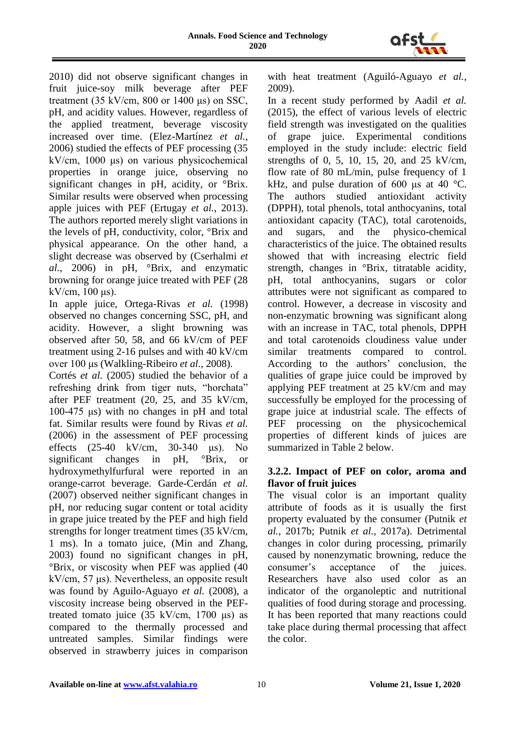

2010) did not observe significant changes in fruit juice-soy milk beverage after PEF treatment (35 kV/cm, 800 or 1400 μs) on SSC, pH, and acidity values. However, regardless of the applied treatment, beverage viscosity increased over time. (Elez-Martínez *et al.*, 2006) studied the effects of PEF processing (35 kV/cm, 1000 μs) on various physicochemical properties in orange juice, observing no significant changes in pH, acidity, or °Brix. Similar results were observed when processing apple juices with PEF (Ertugay *et al.*, 2013). The authors reported merely slight variations in the levels of pH, conductivity, color, °Brix and physical appearance. On the other hand, a slight decrease was observed by (Cserhalmi *et al.*, 2006) in pH, °Brix, and enzymatic browning for orange juice treated with PEF (28  $kV/cm$ , 100 μs).

In apple juice, Ortega-Rivas *et al.* (1998) observed no changes concerning SSC, pH, and acidity. However, a slight browning was observed after 50, 58, and 66 kV/cm of PEF treatment using 2-16 pulses and with 40 kV/cm over 100 μs (Walkling-Ribeiro *et al.*, 2008).

Cortés *et al.* (2005) studied the behavior of a refreshing drink from tiger nuts, "horchata" after PEF treatment (20, 25, and 35 kV/cm, 100-475 μs) with no changes in pH and total fat. Similar results were found by Rivas *et al.* (2006) in the assessment of PEF processing effects (25-40 kV/cm, 30-340 μs). No significant changes in pH, °Brix, or hydroxymethylfurfural were reported in an orange-carrot beverage. Garde-Cerdán *et al.* (2007) observed neither significant changes in pH, nor reducing sugar content or total acidity in grape juice treated by the PEF and high field strengths for longer treatment times (35 kV/cm, 1 ms). In a tomato juice, (Min and Zhang, 2003) found no significant changes in pH, °Brix, or viscosity when PEF was applied (40 kV/cm, 57 μs). Nevertheless, an opposite result was found by Aguilo-Aguayo *et al.* (2008), a viscosity increase being observed in the PEFtreated tomato juice  $(35 \text{ kV/cm}, 1700 \text{ \textmu s})$  as compared to the thermally processed and untreated samples. Similar findings were observed in strawberry juices in comparison with heat treatment (Aguiló-Aguayo *et al.*, 2009).

In a recent study performed by Aadil *et al.* (2015), the effect of various levels of electric field strength was investigated on the qualities of grape juice. Experimental conditions employed in the study include: electric field strengths of 0, 5, 10, 15, 20, and 25 kV/cm, flow rate of 80 mL/min, pulse frequency of 1 kHz, and pulse duration of 600 μs at 40  $^{\circ}$ C. The authors studied antioxidant activity (DPPH), total phenols, total anthocyanins, total antioxidant capacity (TAC), total carotenoids, and sugars, and the physico-chemical characteristics of the juice. The obtained results showed that with increasing electric field strength, changes in °Brix, titratable acidity, pH, total anthocyanins, sugars or color attributes were not significant as compared to control. However, a decrease in viscosity and non-enzymatic browning was significant along with an increase in TAC, total phenols, DPPH and total carotenoids cloudiness value under similar treatments compared to control. According to the authors' conclusion, the qualities of grape juice could be improved by applying PEF treatment at 25 kV/cm and may successfully be employed for the processing of grape juice at industrial scale. The effects of PEF processing on the physicochemical properties of different kinds of juices are summarized in Table 2 below.

#### **3.2.2. Impact of PEF on color, aroma and flavor of fruit juices**

The visual color is an important quality attribute of foods as it is usually the first property evaluated by the consumer (Putnik *et al.*, 2017b; Putnik *et al.*, 2017a). Detrimental changes in color during processing, primarily caused by nonenzymatic browning, reduce the consumer's acceptance of the juices. Researchers have also used color as an indicator of the organoleptic and nutritional qualities of food during storage and processing. It has been reported that many reactions could take place during thermal processing that affect the color.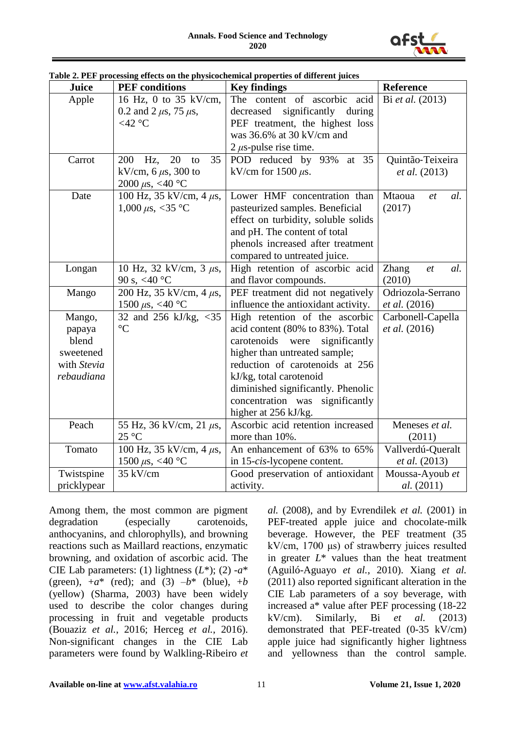

| Juice       | <b>PEF</b> conditions          | <b>Key findings</b>                  | Reference                 |
|-------------|--------------------------------|--------------------------------------|---------------------------|
| Apple       | 16 Hz, 0 to 35 kV/cm,          | The content of ascorbic acid         | Bi et al. (2013)          |
|             | 0.2 and 2 $\mu$ s, 75 $\mu$ s, | significantly<br>decreased<br>during |                           |
|             | $<$ 42 °C                      | PEF treatment, the highest loss      |                           |
|             |                                | was 36.6% at 30 kV/cm and            |                           |
|             |                                | 2 $\mu$ s-pulse rise time.           |                           |
| Carrot      | 20<br>35<br>200<br>Hz,<br>to   | POD reduced by 93%<br>at 35          | Quintão-Teixeira          |
|             | kV/cm, $6 \mu s$ , 300 to      | kV/cm for $1500 \mu s$ .             | <i>et al.</i> (2013)      |
|             | 2000 $\mu$ s, <40 °C           |                                      |                           |
| Date        | 100 Hz, 35 kV/cm, 4 $\mu$ s,   | Lower HMF concentration than         | Mtaoua<br>al.<br>et       |
|             | 1,000 $\mu$ s, <35 °C          | pasteurized samples. Beneficial      | (2017)                    |
|             |                                | effect on turbidity, soluble solids  |                           |
|             |                                | and pH. The content of total         |                           |
|             |                                | phenols increased after treatment    |                           |
|             |                                | compared to untreated juice.         |                           |
| Longan      | 10 Hz, 32 kV/cm, 3 $\mu$ s,    | High retention of ascorbic acid      | <b>Zhang</b><br>al.<br>et |
|             | 90 s, <40 °C                   | and flavor compounds.                | (2010)                    |
| Mango       | 200 Hz, 35 kV/cm, 4 $\mu$ s,   | PEF treatment did not negatively     | Odriozola-Serrano         |
|             | 1500 $\mu$ s, <40 °C           | influence the antioxidant activity.  | et al. (2016)             |
| Mango,      | 32 and 256 kJ/kg, <35          | High retention of the ascorbic       | Carbonell-Capella         |
| papaya      | $\rm ^{\circ}C$                | acid content (80% to 83%). Total     | <i>et al.</i> (2016)      |
| blend       |                                | carotenoids were<br>significantly    |                           |
| sweetened   |                                | higher than untreated sample;        |                           |
| with Stevia |                                | reduction of carotenoids at 256      |                           |
| rebaudiana  |                                | kJ/kg, total carotenoid              |                           |
|             |                                | diminished significantly. Phenolic   |                           |
|             |                                | concentration was significantly      |                           |
|             |                                | higher at 256 kJ/kg.                 |                           |
| Peach       | 55 Hz, 36 kV/cm, 21 $\mu$ s,   | Ascorbic acid retention increased    | Meneses et al.            |
|             | $25^{\circ}$ C                 | more than 10%.                       | (2011)                    |
| Tomato      | 100 Hz, 35 kV/cm, 4 $\mu$ s,   | An enhancement of 63% to 65%         | Vallverdú-Queralt         |
|             | 1500 $\mu$ s, <40 °C           | in 15-cis-lycopene content.          | <i>et al.</i> (2013)      |
| Twistspine  | 35 kV/cm                       | Good preservation of antioxidant     | Moussa-Ayoub et           |
| pricklypear |                                | activity.                            | <i>al.</i> (2011)         |

**Table 2. PEF processing effects on the physicochemical properties of different juices**

Among them, the most common are pigment degradation (especially carotenoids, anthocyanins, and chlorophylls), and browning reactions such as Maillard reactions, enzymatic browning, and oxidation of ascorbic acid. The CIE Lab parameters: (1) lightness  $(L^*);$  (2)  $-a^*$ (green),  $+a^*$  (red); and (3)  $-b^*$  (blue),  $+b$ (yellow) (Sharma, 2003) have been widely used to describe the color changes during processing in fruit and vegetable products (Bouaziz *et al.*, 2016; Herceg *et al.*, 2016). Non-significant changes in the CIE Lab parameters were found by Walkling-Ribeiro *et* 

*al.* (2008), and by Evrendilek *et al.* (2001) in PEF-treated apple juice and chocolate-milk beverage. However, the PEF treatment (35 kV/cm, 1700 μs) of strawberry juices resulted in greater  $L^*$  values than the heat treatment (Aguiló-Aguayo *et al.*, 2010). Xiang *et al.* (2011) also reported significant alteration in the CIE Lab parameters of a soy beverage, with increased a\* value after PEF processing (18-22 kV/cm). Similarly, Bi *et al.* (2013) demonstrated that PEF-treated (0-35 kV/cm) apple juice had significantly higher lightness and yellowness than the control sample.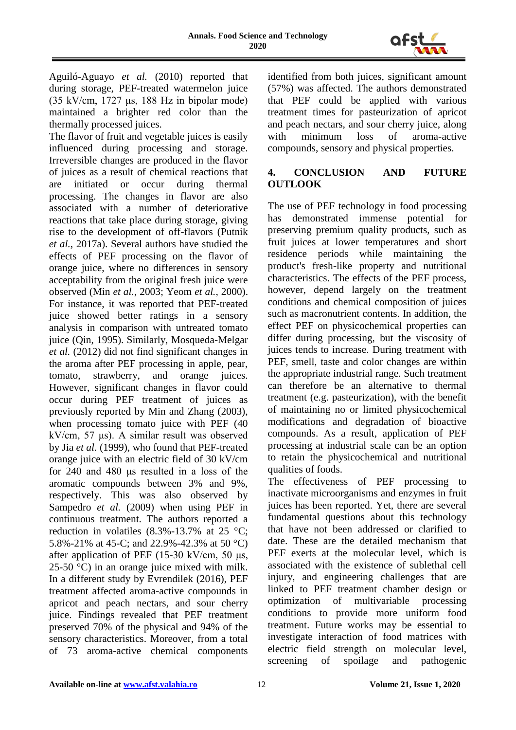

Aguiló-Aguayo *et al.* (2010) reported that during storage, PEF-treated watermelon juice (35 kV/cm, 1727 μs, 188 Hz in bipolar mode) maintained a brighter red color than the thermally processed juices.

The flavor of fruit and vegetable juices is easily influenced during processing and storage. Irreversible changes are produced in the flavor of juices as a result of chemical reactions that are initiated or occur during thermal processing. The changes in flavor are also associated with a number of deteriorative reactions that take place during storage, giving rise to the development of off-flavors (Putnik *et al.*, 2017a). Several authors have studied the effects of PEF processing on the flavor of orange juice, where no differences in sensory acceptability from the original fresh juice were observed (Min *et al.*, 2003; Yeom *et al.*, 2000). For instance, it was reported that PEF-treated juice showed better ratings in a sensory analysis in comparison with untreated tomato juice (Qin, 1995). Similarly, Mosqueda-Melgar *et al.* (2012) did not find significant changes in the aroma after PEF processing in apple, pear, tomato, strawberry, and orange juices. However, significant changes in flavor could occur during PEF treatment of juices as previously reported by Min and Zhang (2003), when processing tomato juice with PEF (40 kV/cm, 57 μs). A similar result was observed by Jia *et al.* (1999), who found that PEF-treated orange juice with an electric field of 30 kV/cm for 240 and 480 μs resulted in a loss of the aromatic compounds between 3% and 9%, respectively. This was also observed by Sampedro *et al.* (2009) when using PEF in continuous treatment. The authors reported a reduction in volatiles  $(8.3\% - 13.7\%$  at 25 °C: 5.8%-21% at 45-C; and 22.9%-42.3% at 50 °C) after application of PEF (15-30 kV/cm, 50  $\mu$ s, 25-50 °C) in an orange juice mixed with milk. In a different study by Evrendilek (2016), PEF treatment affected aroma-active compounds in apricot and peach nectars, and sour cherry juice. Findings revealed that PEF treatment preserved 70% of the physical and 94% of the sensory characteristics. Moreover, from a total of 73 aroma-active chemical components

identified from both juices, significant amount (57%) was affected. The authors demonstrated that PEF could be applied with various treatment times for pasteurization of apricot and peach nectars, and sour cherry juice, along with minimum loss of aroma-active compounds, sensory and physical properties.

## **4. CONCLUSION AND FUTURE OUTLOOK**

The use of PEF technology in food processing has demonstrated immense potential for preserving premium quality products, such as fruit juices at lower temperatures and short residence periods while maintaining the product's fresh-like property and nutritional characteristics. The effects of the PEF process, however, depend largely on the treatment conditions and chemical composition of juices such as macronutrient contents. In addition, the effect PEF on physicochemical properties can differ during processing, but the viscosity of juices tends to increase. During treatment with PEF, smell, taste and color changes are within the appropriate industrial range. Such treatment can therefore be an alternative to thermal treatment (e.g. pasteurization), with the benefit of maintaining no or limited physicochemical modifications and degradation of bioactive compounds. As a result, application of PEF processing at industrial scale can be an option to retain the physicochemical and nutritional qualities of foods.

The effectiveness of PEF processing to inactivate microorganisms and enzymes in fruit juices has been reported. Yet, there are several fundamental questions about this technology that have not been addressed or clarified to date. These are the detailed mechanism that PEF exerts at the molecular level, which is associated with the existence of sublethal cell injury, and engineering challenges that are linked to PEF treatment chamber design or optimization of multivariable processing conditions to provide more uniform food treatment. Future works may be essential to investigate interaction of food matrices with electric field strength on molecular level, screening of spoilage and pathogenic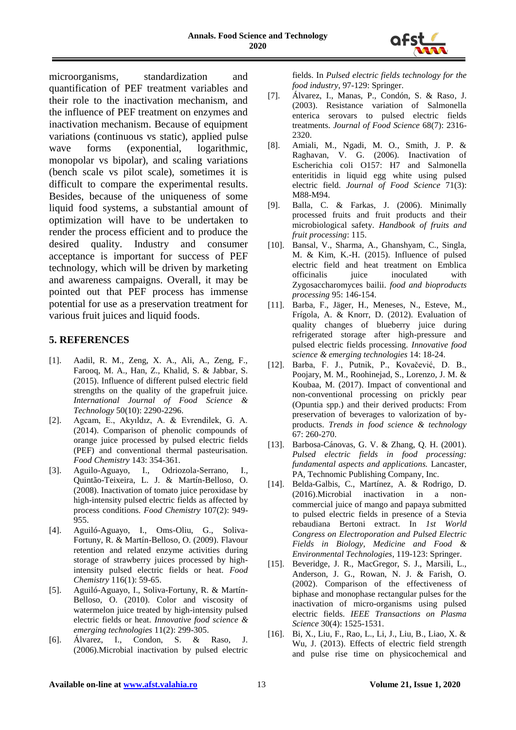

microorganisms, standardization and quantification of PEF treatment variables and their role to the inactivation mechanism, and the influence of PEF treatment on enzymes and inactivation mechanism. Because of equipment variations (continuous vs static), applied pulse wave forms (exponential, logarithmic, monopolar vs bipolar), and scaling variations (bench scale vs pilot scale), sometimes it is difficult to compare the experimental results. Besides, because of the uniqueness of some liquid food systems, a substantial amount of optimization will have to be undertaken to render the process efficient and to produce the desired quality. Industry and consumer acceptance is important for success of PEF technology, which will be driven by marketing and awareness campaigns. Overall, it may be pointed out that PEF process has immense potential for use as a preservation treatment for various fruit juices and liquid foods.

#### **5. REFERENCES**

- [1]. Aadil, R. M., Zeng, X. A., Ali, A., Zeng, F., Farooq, M. A., Han, Z., Khalid, S. & Jabbar, S. (2015). Influence of different pulsed electric field strengths on the quality of the grapefruit juice. *International Journal of Food Science & Technology* 50(10): 2290-2296.
- [2]. Agcam, E., Akyıldız, A. & Evrendilek, G. A. (2014). Comparison of phenolic compounds of orange juice processed by pulsed electric fields (PEF) and conventional thermal pasteurisation. *Food Chemistry* 143: 354-361.
- [3]. Aguilo-Aguayo, I., Odriozola-Serrano, I., Quintão-Teixeira, L. J. & Martín-Belloso, O. (2008). Inactivation of tomato juice peroxidase by high-intensity pulsed electric fields as affected by process conditions. *Food Chemistry* 107(2): 949- 955.
- [4]. Aguiló-Aguayo, I., Oms-Oliu, G., Soliva-Fortuny, R. & Martín-Belloso, O. (2009). Flavour retention and related enzyme activities during storage of strawberry juices processed by highintensity pulsed electric fields or heat. *Food Chemistry* 116(1): 59-65.
- [5]. Aguiló-Aguayo, I., Soliva-Fortuny, R. & Martín-Belloso, O. (2010). Color and viscosity of watermelon juice treated by high-intensity pulsed electric fields or heat. *Innovative food science & emerging technologies* 11(2): 299-305.
- [6]. Álvarez, I., Condon, S. & Raso, J. (2006).Microbial inactivation by pulsed electric

fields. In *Pulsed electric fields technology for the food industry*, 97-129: Springer.

- [7]. Álvarez, I., Manas, P., Condón, S. & Raso, J. (2003). Resistance variation of Salmonella enterica serovars to pulsed electric fields treatments. *Journal of Food Science* 68(7): 2316- 2320.
- [8]. Amiali, M., Ngadi, M. O., Smith, J. P. & Raghavan, V. G. (2006). Inactivation of Escherichia coli O157: H7 and Salmonella enteritidis in liquid egg white using pulsed electric field. *Journal of Food Science* 71(3): M88-M94.
- [9]. Balla, C. & Farkas, J. (2006). Minimally processed fruits and fruit products and their microbiological safety. *Handbook of fruits and fruit processing*: 115.
- [10]. Bansal, V., Sharma, A., Ghanshyam, C., Singla, M. & Kim, K.-H. (2015). Influence of pulsed electric field and heat treatment on Emblica officinalis juice inoculated with Zygosaccharomyces bailii. *food and bioproducts processing* 95: 146-154.
- [11]. Barba, F., Jäger, H., Meneses, N., Esteve, M., Frígola, A. & Knorr, D. (2012). Evaluation of quality changes of blueberry juice during refrigerated storage after high-pressure and pulsed electric fields processing. *Innovative food science & emerging technologies* 14: 18-24.
- [12]. Barba, F. J., Putnik, P., Kovačević, D. B., Poojary, M. M., Roohinejad, S., Lorenzo, J. M. & Koubaa, M. (2017). Impact of conventional and non-conventional processing on prickly pear (Opuntia spp.) and their derived products: From preservation of beverages to valorization of byproducts. *Trends in food science & technology* 67: 260-270.
- [13]. Barbosa-Cánovas, G. V. & Zhang, Q. H. (2001). *Pulsed electric fields in food processing: fundamental aspects and applications.* Lancaster, PA, Technomic Publishing Company, Inc.
- [14]. Belda-Galbis, C., Martínez, A. & Rodrigo, D. (2016).Microbial inactivation in a noncommercial juice of mango and papaya submitted to pulsed electric fields in presence of a Stevia rebaudiana Bertoni extract. In *1st World Congress on Electroporation and Pulsed Electric Fields in Biology, Medicine and Food & Environmental Technologies*, 119-123: Springer.
- [15]. Beveridge, J. R., MacGregor, S. J., Marsili, L., Anderson, J. G., Rowan, N. J. & Farish, O. (2002). Comparison of the effectiveness of biphase and monophase rectangular pulses for the inactivation of micro-organisms using pulsed electric fields. *IEEE Transactions on Plasma Science* 30(4): 1525-1531.
- [16]. Bi, X., Liu, F., Rao, L., Li, J., Liu, B., Liao, X. & Wu, J. (2013). Effects of electric field strength and pulse rise time on physicochemical and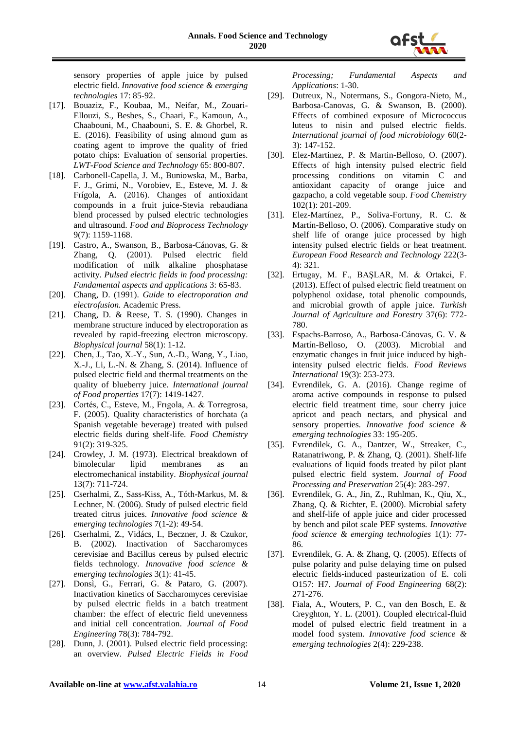

sensory properties of apple juice by pulsed electric field. *Innovative food science & emerging technologies* 17: 85-92.

- [17]. Bouaziz, F., Koubaa, M., Neifar, M., Zouari-Ellouzi, S., Besbes, S., Chaari, F., Kamoun, A., Chaabouni, M., Chaabouni, S. E. & Ghorbel, R. E. (2016). Feasibility of using almond gum as coating agent to improve the quality of fried potato chips: Evaluation of sensorial properties. *LWT-Food Science and Technology* 65: 800-807.
- [18]. Carbonell-Capella, J. M., Buniowska, M., Barba, F. J., Grimi, N., Vorobiev, E., Esteve, M. J. & Frígola, A. (2016). Changes of antioxidant compounds in a fruit juice-Stevia rebaudiana blend processed by pulsed electric technologies and ultrasound. *Food and Bioprocess Technology* 9(7): 1159-1168.
- [19]. Castro, A., Swanson, B., Barbosa-Cánovas, G. & Zhang, Q. (2001). Pulsed electric field modification of milk alkaline phosphatase activity. *Pulsed electric fields in food processing: Fundamental aspects and applications* 3: 65-83.
- [20]. Chang, D. (1991). *Guide to electroporation and electrofusion.* Academic Press.
- [21]. Chang, D. & Reese, T. S. (1990). Changes in membrane structure induced by electroporation as revealed by rapid-freezing electron microscopy. *Biophysical journal* 58(1): 1-12.
- [22]. Chen, J., Tao, X.-Y., Sun, A.-D., Wang, Y., Liao, X.-J., Li, L.-N. & Zhang, S. (2014). Influence of pulsed electric field and thermal treatments on the quality of blueberry juice. *International journal of Food properties* 17(7): 1419-1427.
- [23]. Cortés, C., Esteve, M., Frıgola, A. & Torregrosa, F. (2005). Quality characteristics of horchata (a Spanish vegetable beverage) treated with pulsed electric fields during shelf-life. *Food Chemistry* 91(2): 319-325.
- [24]. Crowley, J. M. (1973). Electrical breakdown of bimolecular lipid membranes as an electromechanical instability. *Biophysical journal* 13(7): 711-724.
- [25]. Cserhalmi, Z., Sass-Kiss, A., Tóth-Markus, M. & Lechner, N. (2006). Study of pulsed electric field treated citrus juices. *Innovative food science & emerging technologies* 7(1-2): 49-54.
- [26]. Cserhalmi, Z., Vidács, I., Beczner, J. & Czukor, B. (2002). Inactivation of Saccharomyces cerevisiae and Bacillus cereus by pulsed electric fields technology. *Innovative food science & emerging technologies* 3(1): 41-45.
- [27]. Donsì, G., Ferrari, G. & Pataro, G. (2007). Inactivation kinetics of Saccharomyces cerevisiae by pulsed electric fields in a batch treatment chamber: the effect of electric field unevenness and initial cell concentration. *Journal of Food Engineering* 78(3): 784-792.
- [28]. Dunn, J. (2001). Pulsed electric field processing: an overview. *Pulsed Electric Fields in Food*

*Processing; Fundamental Aspects and Applications*: 1-30.

- [29]. Dutreux, N., Notermans, S., Gongora-Nieto, M., Barbosa-Canovas, G. & Swanson, B. (2000). Effects of combined exposure of Micrococcus luteus to nisin and pulsed electric fields. *International journal of food microbiology* 60(2- 3): 147-152.
- [30]. Elez-Martinez, P. & Martin-Belloso, O. (2007). Effects of high intensity pulsed electric field processing conditions on vitamin C and antioxidant capacity of orange juice and gazpacho, a cold vegetable soup. *Food Chemistry* 102(1): 201-209.
- [31]. Elez-Martínez, P., Soliva-Fortuny, R. C. & Martín-Belloso, O. (2006). Comparative study on shelf life of orange juice processed by high intensity pulsed electric fields or heat treatment. *European Food Research and Technology* 222(3- 4): 321.
- [32]. Ertugay, M. F., BAŞLAR, M. & Ortakci, F. (2013). Effect of pulsed electric field treatment on polyphenol oxidase, total phenolic compounds, and microbial growth of apple juice. *Turkish Journal of Agriculture and Forestry* 37(6): 772- 780.
- [33]. Espachs-Barroso, A., Barbosa-Cánovas, G. V. & Martín-Belloso, O. (2003). Microbial and enzymatic changes in fruit juice induced by highintensity pulsed electric fields. *Food Reviews International* 19(3): 253-273.
- [34]. Evrendilek, G. A. (2016). Change regime of aroma active compounds in response to pulsed electric field treatment time, sour cherry juice apricot and peach nectars, and physical and sensory properties. *Innovative food science & emerging technologies* 33: 195-205.
- [35]. Evrendilek, G. A., Dantzer, W., Streaker, C., Ratanatriwong, P. & Zhang, Q. (2001). Shelf‐life evaluations of liquid foods treated by pilot plant pulsed electric field system. *Journal of Food Processing and Preservation* 25(4): 283-297.
- [36]. Evrendilek, G. A., Jin, Z., Ruhlman, K., Qiu, X., Zhang, Q. & Richter, E. (2000). Microbial safety and shelf-life of apple juice and cider processed by bench and pilot scale PEF systems. *Innovative food science & emerging technologies* 1(1): 77- 86.
- [37]. Evrendilek, G. A. & Zhang, Q. (2005). Effects of pulse polarity and pulse delaying time on pulsed electric fields-induced pasteurization of E. coli O157: H7. *Journal of Food Engineering* 68(2): 271-276.
- [38]. Fiala, A., Wouters, P. C., van den Bosch, E. & Creyghton, Y. L. (2001). Coupled electrical-fluid model of pulsed electric field treatment in a model food system. *Innovative food science & emerging technologies* 2(4): 229-238.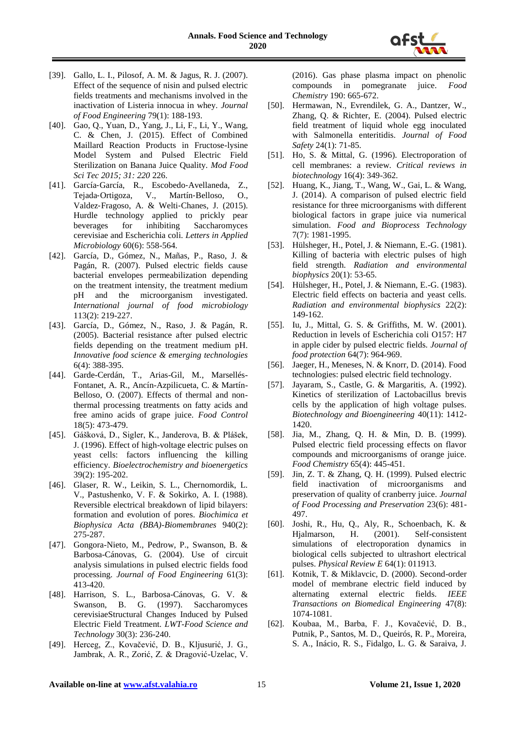

- [39]. Gallo, L. I., Pilosof, A. M. & Jagus, R. J. (2007). Effect of the sequence of nisin and pulsed electric fields treatments and mechanisms involved in the inactivation of Listeria innocua in whey. *Journal of Food Engineering* 79(1): 188-193.
- [40]. Gao, Q., Yuan, D., Yang, J., Li, F., Li, Y., Wang, C. & Chen, J. (2015). Effect of Combined Maillard Reaction Products in Fructose-lysine Model System and Pulsed Electric Field Sterilization on Banana Juice Quality. *Mod Food Sci Tec 2015; 31: 220* 226.
- [41]. García‐García, R., Escobedo‐Avellaneda, Z., Tejada‐Ortigoza, V., Martín‐Belloso, O., Valdez‐Fragoso, A. & Welti‐Chanes, J. (2015). Hurdle technology applied to prickly pear beverages for inhibiting Saccharomyces cerevisiae and Escherichia coli. *Letters in Applied Microbiology* 60(6): 558-564.
- [42]. García, D., Gómez, N., Mañas, P., Raso, J. & Pagán, R. (2007). Pulsed electric fields cause bacterial envelopes permeabilization depending on the treatment intensity, the treatment medium pH and the microorganism investigated. *International journal of food microbiology* 113(2): 219-227.
- [43]. García, D., Gómez, N., Raso, J. & Pagán, R. (2005). Bacterial resistance after pulsed electric fields depending on the treatment medium pH. *Innovative food science & emerging technologies* 6(4): 388-395.
- [44]. Garde-Cerdán, T., Arias-Gil, M., Marsellés-Fontanet, A. R., Ancín-Azpilicueta, C. & Martín-Belloso, O. (2007). Effects of thermal and nonthermal processing treatments on fatty acids and free amino acids of grape juice. *Food Control* 18(5): 473-479.
- [45]. Gášková, D., Sigler, K., Janderova, B. & Plášek, J. (1996). Effect of high-voltage electric pulses on yeast cells: factors influencing the killing efficiency. *Bioelectrochemistry and bioenergetics* 39(2): 195-202.
- [46]. Glaser, R. W., Leikin, S. L., Chernomordik, L. V., Pastushenko, V. F. & Sokirko, A. I. (1988). Reversible electrical breakdown of lipid bilayers: formation and evolution of pores. *Biochimica et Biophysica Acta (BBA)-Biomembranes* 940(2): 275-287.
- [47]. Gongora-Nieto, M., Pedrow, P., Swanson, B. & Barbosa-Cánovas, G. (2004). Use of circuit analysis simulations in pulsed electric fields food processing. *Journal of Food Engineering* 61(3): 413-420.
- [48]. Harrison, S. L., Barbosa-Cánovas, G. V. & Swanson, B. G. (1997). Saccharomyces cerevisiaeStructural Changes Induced by Pulsed Electric Field Treatment. *LWT-Food Science and Technology* 30(3): 236-240.
- [49]. Herceg, Z., Kovačević, D. B., Kljusurić, J. G., Jambrak, A. R., Zorić, Z. & Dragović-Uzelac, V.

(2016). Gas phase plasma impact on phenolic compounds in pomegranate juice. *Food Chemistry* 190: 665-672.

- [50]. Hermawan, N., Evrendilek, G. A., Dantzer, W., Zhang, Q. & Richter, E. (2004). Pulsed electric field treatment of liquid whole egg inoculated with Salmonella enteritidis. *Journal of Food Safety* 24(1): 71-85.
- [51]. Ho, S. & Mittal, G. (1996). Electroporation of cell membranes: a review. *Critical reviews in biotechnology* 16(4): 349-362.
- [52]. Huang, K., Jiang, T., Wang, W., Gai, L. & Wang, J. (2014). A comparison of pulsed electric field resistance for three microorganisms with different biological factors in grape juice via numerical simulation. *Food and Bioprocess Technology* 7(7): 1981-1995.
- [53]. Hülsheger, H., Potel, J. & Niemann, E.-G. (1981). Killing of bacteria with electric pulses of high field strength. *Radiation and environmental biophysics* 20(1): 53-65.
- [54]. Hülsheger, H., Potel, J. & Niemann, E.-G. (1983). Electric field effects on bacteria and yeast cells. *Radiation and environmental biophysics* 22(2): 149-162.
- [55]. Iu, J., Mittal, G. S. & Griffiths, M. W. (2001). Reduction in levels of Escherichia coli O157: H7 in apple cider by pulsed electric fields. *Journal of food protection* 64(7): 964-969.
- [56]. Jaeger, H., Meneses, N. & Knorr, D. (2014). Food technologies: pulsed electric field technology.
- [57]. Jayaram, S., Castle, G. & Margaritis, A. (1992). Kinetics of sterilization of Lactobacillus brevis cells by the application of high voltage pulses. *Biotechnology and Bioengineering* 40(11): 1412- 1420.
- [58]. Jia, M., Zhang, Q. H. & Min, D. B. (1999). Pulsed electric field processing effects on flavor compounds and microorganisms of orange juice. *Food Chemistry* 65(4): 445-451.
- [59]. Jin, Z. T. & Zhang, Q. H. (1999). Pulsed electric field inactivation of microorganisms and preservation of quality of cranberry juice. *Journal of Food Processing and Preservation* 23(6): 481- 497.
- [60]. Joshi, R., Hu, Q., Aly, R., Schoenbach, K. & Hjalmarson, H. (2001). Self-consistent simulations of electroporation dynamics in biological cells subjected to ultrashort electrical pulses. *Physical Review E* 64(1): 011913.
- [61]. Kotnik, T. & Miklavcic, D. (2000). Second-order model of membrane electric field induced by alternating external electric fields. *IEEE Transactions on Biomedical Engineering* 47(8): 1074-1081.
- [62]. Koubaa, M., Barba, F. J., Kovačević, D. B., Putnik, P., Santos, M. D., Queirós, R. P., Moreira, S. A., Inácio, R. S., Fidalgo, L. G. & Saraiva, J.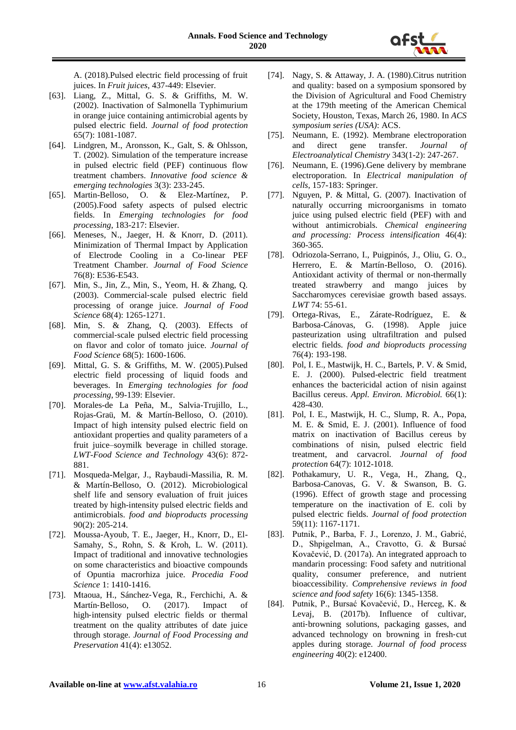

A. (2018).Pulsed electric field processing of fruit juices. In *Fruit juices*, 437-449: Elsevier.

- [63]. Liang, Z., Mittal, G. S. & Griffiths, M. W. (2002). Inactivation of Salmonella Typhimurium in orange juice containing antimicrobial agents by pulsed electric field. *Journal of food protection* 65(7): 1081-1087.
- [64]. Lindgren, M., Aronsson, K., Galt, S. & Ohlsson, T. (2002). Simulation of the temperature increase in pulsed electric field (PEF) continuous flow treatment chambers. *Innovative food science & emerging technologies* 3(3): 233-245.
- [65]. Martin-Belloso, O. & Elez-Martínez, P. (2005).Food safety aspects of pulsed electric fields. In *Emerging technologies for food processing*, 183-217: Elsevier.
- [66]. Meneses, N., Jaeger, H. & Knorr, D. (2011). Minimization of Thermal Impact by Application of Electrode Cooling in a Co‐linear PEF Treatment Chamber. *Journal of Food Science* 76(8): E536-E543.
- [67]. Min, S., Jin, Z., Min, S., Yeom, H. & Zhang, Q. (2003). Commercial‐scale pulsed electric field processing of orange juice. *Journal of Food Science* 68(4): 1265-1271.
- [68]. Min, S. & Zhang, Q. (2003). Effects of commercial‐scale pulsed electric field processing on flavor and color of tomato juice. *Journal of Food Science* 68(5): 1600-1606.
- [69]. Mittal, G. S. & Griffiths, M. W. (2005).Pulsed electric field processing of liquid foods and beverages. In *Emerging technologies for food processing*, 99-139: Elsevier.
- [70]. Morales-de La Peña, M., Salvia-Trujillo, L., Rojas-Graü, M. & Martín-Belloso, O. (2010). Impact of high intensity pulsed electric field on antioxidant properties and quality parameters of a fruit juice–soymilk beverage in chilled storage. *LWT-Food Science and Technology* 43(6): 872- 881.
- [71]. Mosqueda-Melgar, J., Raybaudi-Massilia, R. M. & Martín-Belloso, O. (2012). Microbiological shelf life and sensory evaluation of fruit juices treated by high-intensity pulsed electric fields and antimicrobials. *food and bioproducts processing* 90(2): 205-214.
- [72]. Moussa-Ayoub, T. E., Jaeger, H., Knorr, D., El-Samahy, S., Rohn, S. & Kroh, L. W. (2011). Impact of traditional and innovative technologies on some characteristics and bioactive compounds of Opuntia macrorhiza juice. *Procedia Food Science* 1: 1410-1416.
- [73]. Mtaoua, H., Sánchez‐Vega, R., Ferchichi, A. & Martín‐Belloso, O. (2017). Impact of high-intensity pulsed electric fields or thermal treatment on the quality attributes of date juice through storage. *Journal of Food Processing and Preservation* 41(4): e13052.
- [74]. Nagy, S. & Attaway, J. A. (1980).Citrus nutrition and quality: based on a symposium sponsored by the Division of Agricultural and Food Chemistry at the 179th meeting of the American Chemical Society, Houston, Texas, March 26, 1980. In *ACS symposium series (USA)*: ACS.
- [75]. Neumann, E. (1992). Membrane electroporation and direct gene transfer. *Journal Electroanalytical Chemistry* 343(1-2): 247-267.
- [76]. Neumann, E. (1996).Gene delivery by membrane electroporation. In *Electrical manipulation of cells*, 157-183: Springer.
- [77]. Nguyen, P. & Mittal, G. (2007). Inactivation of naturally occurring microorganisms in tomato juice using pulsed electric field (PEF) with and without antimicrobials. *Chemical engineering and processing: Process intensification* 46(4): 360-365.
- [78]. Odriozola-Serrano, I., Puigpinós, J., Oliu, G. O., Herrero, E. & Martín-Belloso, O. (2016). Antioxidant activity of thermal or non-thermally treated strawberry and mango juices by Saccharomyces cerevisiae growth based assays. *LWT* 74: 55-61.
- [79]. Ortega-Rivas, E., Zárate-Rodríguez, E. & Barbosa-Cánovas, G. (1998). Apple juice pasteurization using ultrafiltration and pulsed electric fields. *food and bioproducts processing* 76(4): 193-198.
- [80]. Pol, I. E., Mastwijk, H. C., Bartels, P. V. & Smid, E. J. (2000). Pulsed-electric field treatment enhances the bactericidal action of nisin against Bacillus cereus. *Appl. Environ. Microbiol.* 66(1): 428-430.
- [81]. Pol, I. E., Mastwijk, H. C., Slump, R. A., Popa, M. E. & Smid, E. J. (2001). Influence of food matrix on inactivation of Bacillus cereus by combinations of nisin, pulsed electric field treatment, and carvacrol. *Journal of food protection* 64(7): 1012-1018.
- [82]. Pothakamury, U. R., Vega, H., Zhang, Q., Barbosa-Canovas, G. V. & Swanson, B. G. (1996). Effect of growth stage and processing temperature on the inactivation of E. coli by pulsed electric fields. *Journal of food protection* 59(11): 1167-1171.
- [83]. Putnik, P., Barba, F. J., Lorenzo, J. M., Gabrić, D., Shpigelman, A., Cravotto, G. & Bursać Kovačević, D. (2017a). An integrated approach to mandarin processing: Food safety and nutritional quality, consumer preference, and nutrient bioaccessibility. *Comprehensive reviews in food science and food safety* 16(6): 1345-1358.
- [84]. Putnik, P., Bursać Kovačević, D., Herceg, K. & Levaj, B. (2017b). Influence of cultivar, anti‐browning solutions, packaging gasses, and advanced technology on browning in fresh‐cut apples during storage. *Journal of food process engineering* 40(2): e12400.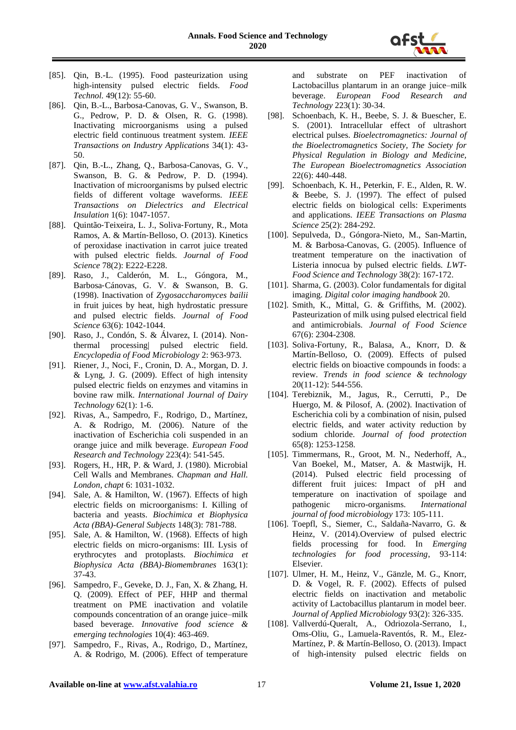

- [85]. Qin, B.-L. (1995). Food pasteurization using high-intensity pulsed electric fields. *Food Technol.* 49(12): 55-60.
- [86]. Qin, B.-L., Barbosa-Canovas, G. V., Swanson, B. G., Pedrow, P. D. & Olsen, R. G. (1998). Inactivating microorganisms using a pulsed electric field continuous treatment system. *IEEE Transactions on Industry Applications* 34(1): 43- 50.
- [87]. Qin, B.-L., Zhang, Q., Barbosa-Canovas, G. V., Swanson, B. G. & Pedrow, P. D. (1994). Inactivation of microorganisms by pulsed electric fields of different voltage waveforms. *IEEE Transactions on Dielectrics and Electrical Insulation* 1(6): 1047-1057.
- [88]. Quintão‐Teixeira, L. J., Soliva‐Fortuny, R., Mota Ramos, A. & Martín‐Belloso, O. (2013). Kinetics of peroxidase inactivation in carrot juice treated with pulsed electric fields. *Journal of Food Science* 78(2): E222-E228.
- [89]. Raso, J., Calderón, M. L., Góngora, M., Barbosa‐Cánovas, G. V. & Swanson, B. G. (1998). Inactivation of *Zygosaccharomyces bailii* in fruit juices by heat, high hydrostatic pressure and pulsed electric fields. *Journal of Food Science* 63(6): 1042-1044.
- [90]. Raso, J., Condón, S. & Álvarez, I. (2014). Nonthermal processing| pulsed electric field. *Encyclopedia of Food Microbiology* 2: 963-973.
- [91]. Riener, J., Noci, F., Cronin, D. A., Morgan, D. J. & Lyng, J. G. (2009). Effect of high intensity pulsed electric fields on enzymes and vitamins in bovine raw milk. *International Journal of Dairy Technology* 62(1): 1-6.
- [92]. Rivas, A., Sampedro, F., Rodrigo, D., Martínez, A. & Rodrigo, M. (2006). Nature of the inactivation of Escherichia coli suspended in an orange juice and milk beverage. *European Food Research and Technology* 223(4): 541-545.
- [93]. Rogers, H., HR, P. & Ward, J. (1980). Microbial Cell Walls and Membranes. *Chapman and Hall. London, chapt* 6: 1031-1032.
- [94]. Sale, A. & Hamilton, W. (1967). Effects of high electric fields on microorganisms: I. Killing of bacteria and yeasts. *Biochimica et Biophysica Acta (BBA)-General Subjects* 148(3): 781-788.
- [95]. Sale, A. & Hamilton, W. (1968). Effects of high electric fields on micro-organisms: III. Lysis of erythrocytes and protoplasts. *Biochimica et Biophysica Acta (BBA)-Biomembranes* 163(1): 37-43.
- [96]. Sampedro, F., Geveke, D. J., Fan, X. & Zhang, H. Q. (2009). Effect of PEF, HHP and thermal treatment on PME inactivation and volatile compounds concentration of an orange juice–milk based beverage. *Innovative food science & emerging technologies* 10(4): 463-469.
- [97]. Sampedro, F., Rivas, A., Rodrigo, D., Martínez, A. & Rodrigo, M. (2006). Effect of temperature

and substrate on PEF inactivation of Lactobacillus plantarum in an orange juice–milk beverage. *European Food Research and Technology* 223(1): 30-34.

- [98]. Schoenbach, K. H., Beebe, S. J. & Buescher, E. S. (2001). Intracellular effect of ultrashort electrical pulses. *Bioelectromagnetics: Journal of the Bioelectromagnetics Society, The Society for Physical Regulation in Biology and Medicine, The European Bioelectromagnetics Association* 22(6): 440-448.
- [99]. Schoenbach, K. H., Peterkin, F. E., Alden, R. W. & Beebe, S. J. (1997). The effect of pulsed electric fields on biological cells: Experiments and applications. *IEEE Transactions on Plasma Science* 25(2): 284-292.
- [100]. Sepulveda, D., Góngora-Nieto, M., San-Martin, M. & Barbosa-Canovas, G. (2005). Influence of treatment temperature on the inactivation of Listeria innocua by pulsed electric fields. *LWT-Food Science and Technology* 38(2): 167-172.
- [101]. Sharma, G. (2003). Color fundamentals for digital imaging. *Digital color imaging handbook* 20.
- [102]. Smith, K., Mittal, G. & Griffiths, M. (2002). Pasteurization of milk using pulsed electrical field and antimicrobials. *Journal of Food Science* 67(6): 2304-2308.
- [103]. Soliva-Fortuny, R., Balasa, A., Knorr, D. & Martín-Belloso, O. (2009). Effects of pulsed electric fields on bioactive compounds in foods: a review. *Trends in food science & technology* 20(11-12): 544-556.
- [104]. Terebiznik, M., Jagus, R., Cerrutti, P., De Huergo, M. & Pilosof, A. (2002). Inactivation of Escherichia coli by a combination of nisin, pulsed electric fields, and water activity reduction by sodium chloride. *Journal of food protection* 65(8): 1253-1258.
- [105]. Timmermans, R., Groot, M. N., Nederhoff, A., Van Boekel, M., Matser, A. & Mastwijk, H. (2014). Pulsed electric field processing of different fruit juices: Impact of pH and temperature on inactivation of spoilage and pathogenic micro-organisms. *International journal of food microbiology* 173: 105-111.
- [106]. Toepfl, S., Siemer, C., Saldaña-Navarro, G. & Heinz, V. (2014).Overview of pulsed electric fields processing for food. In *Emerging technologies for food processing*, 93-114: Elsevier.
- [107]. Ulmer, H. M., Heinz, V., Gänzle, M. G., Knorr, D. & Vogel, R. F. (2002). Effects of pulsed electric fields on inactivation and metabolic activity of Lactobacillus plantarum in model beer. *Journal of Applied Microbiology* 93(2): 326-335.
- [108]. Vallverdú-Queralt, A., Odriozola-Serrano, I., Oms-Oliu, G., Lamuela-Raventós, R. M., Elez-Martínez, P. & Martín-Belloso, O. (2013). Impact of high-intensity pulsed electric fields on